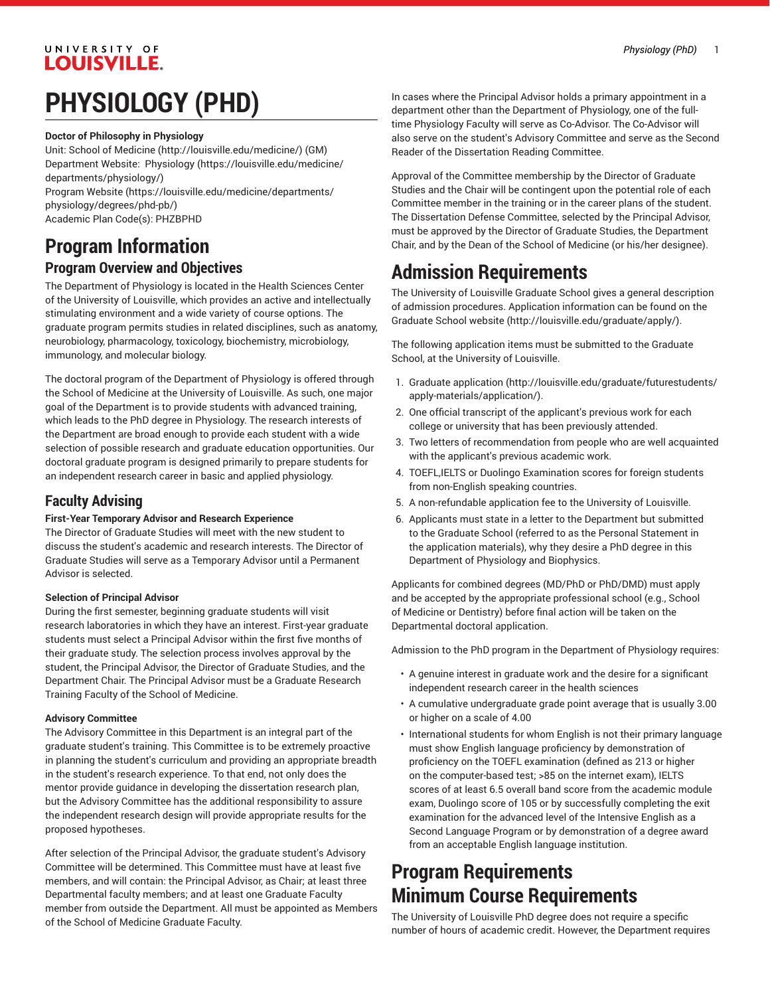# UNIVERSITY OF **LOUISVILLE.**

# **PHYSIOLOGY (PHD)**

#### **Doctor of Philosophy in Physiology**

Unit: [School of Medicine \(http://louisville.edu/medicine/\)](http://louisville.edu/medicine/) (GM) Department Website: [Physiology](https://louisville.edu/medicine/departments/physiology/) ([https://louisville.edu/medicine/](https://louisville.edu/medicine/departments/physiology/) [departments/physiology/\)](https://louisville.edu/medicine/departments/physiology/)

[Program](https://louisville.edu/medicine/departments/physiology/degrees/phd-pb/) Website [\(https://louisville.edu/medicine/departments/](https://louisville.edu/medicine/departments/physiology/degrees/phd-pb/) [physiology/degrees/phd-pb/](https://louisville.edu/medicine/departments/physiology/degrees/phd-pb/)) Academic Plan Code(s): PHZBPHD

### **Program Information Program Overview and Objectives**

The Department of Physiology is located in the Health Sciences Center of the University of Louisville, which provides an active and intellectually stimulating environment and a wide variety of course options. The graduate program permits studies in related disciplines, such as anatomy, neurobiology, pharmacology, toxicology, biochemistry, microbiology, immunology, and molecular biology.

The doctoral program of the Department of Physiology is offered through the School of Medicine at the University of Louisville. As such, one major goal of the Department is to provide students with advanced training, which leads to the PhD degree in Physiology. The research interests of the Department are broad enough to provide each student with a wide selection of possible research and graduate education opportunities. Our doctoral graduate program is designed primarily to prepare students for an independent research career in basic and applied physiology.

### **Faculty Advising**

#### **First-Year Temporary Advisor and Research Experience**

The Director of Graduate Studies will meet with the new student to discuss the student's academic and research interests. The Director of Graduate Studies will serve as a Temporary Advisor until a Permanent Advisor is selected.

#### **Selection of Principal Advisor**

During the first semester, beginning graduate students will visit research laboratories in which they have an interest. First-year graduate students must select a Principal Advisor within the first five months of their graduate study. The selection process involves approval by the student, the Principal Advisor, the Director of Graduate Studies, and the Department Chair. The Principal Advisor must be a Graduate Research Training Faculty of the School of Medicine.

#### **Advisory Committee**

The Advisory Committee in this Department is an integral part of the graduate student's training. This Committee is to be extremely proactive in planning the student's curriculum and providing an appropriate breadth in the student's research experience. To that end, not only does the mentor provide guidance in developing the dissertation research plan, but the Advisory Committee has the additional responsibility to assure the independent research design will provide appropriate results for the proposed hypotheses.

After selection of the Principal Advisor, the graduate student's Advisory Committee will be determined. This Committee must have at least five members, and will contain: the Principal Advisor, as Chair; at least three Departmental faculty members; and at least one Graduate Faculty member from outside the Department. All must be appointed as Members of the School of Medicine Graduate Faculty.

In cases where the Principal Advisor holds a primary appointment in a department other than the Department of Physiology, one of the fulltime Physiology Faculty will serve as Co-Advisor. The Co-Advisor will also serve on the student's Advisory Committee and serve as the Second Reader of the Dissertation Reading Committee.

Approval of the Committee membership by the Director of Graduate Studies and the Chair will be contingent upon the potential role of each Committee member in the training or in the career plans of the student. The Dissertation Defense Committee, selected by the Principal Advisor, must be approved by the Director of Graduate Studies, the Department Chair, and by the Dean of the School of Medicine (or his/her designee).

# **Admission Requirements**

The University of Louisville Graduate School gives a general description of admission procedures. Application information can be found on the [Graduate School website](http://louisville.edu/graduate/apply/) ([http://louisville.edu/graduate/apply/\)](http://louisville.edu/graduate/apply/).

The following application items must be submitted to the Graduate School, at the University of Louisville.

- 1. [Graduate application](http://louisville.edu/graduate/futurestudents/apply-materials/application/) [\(http://louisville.edu/graduate/futurestudents/](http://louisville.edu/graduate/futurestudents/apply-materials/application/) [apply-materials/application/](http://louisville.edu/graduate/futurestudents/apply-materials/application/)).
- 2. One official transcript of the applicant's previous work for each college or university that has been previously attended.
- 3. Two letters of recommendation from people who are well acquainted with the applicant's previous academic work.
- 4. TOEFL,IELTS or Duolingo Examination scores for foreign students from non-English speaking countries.
- 5. A non-refundable application fee to the University of Louisville.
- 6. Applicants must state in a letter to the Department but submitted to the Graduate School (referred to as the Personal Statement in the application materials), why they desire a PhD degree in this Department of Physiology and Biophysics.

Applicants for combined degrees (MD/PhD or PhD/DMD) must apply and be accepted by the appropriate professional school (e.g., School of Medicine or Dentistry) before final action will be taken on the Departmental doctoral application.

Admission to the PhD program in the Department of Physiology requires:

- A genuine interest in graduate work and the desire for a significant independent research career in the health sciences
- A cumulative undergraduate grade point average that is usually 3.00 or higher on a scale of 4.00
- International students for whom English is not their primary language must show English language proficiency by demonstration of proficiency on the TOEFL examination (defined as 213 or higher on the computer-based test; >85 on the internet exam), IELTS scores of at least 6.5 overall band score from the academic module exam, Duolingo score of 105 or by successfully completing the exit examination for the advanced level of the Intensive English as a Second Language Program or by demonstration of a degree award from an acceptable English language institution.

# **Program Requirements Minimum Course Requirements**

The University of Louisville PhD degree does not require a specific number of hours of academic credit. However, the Department requires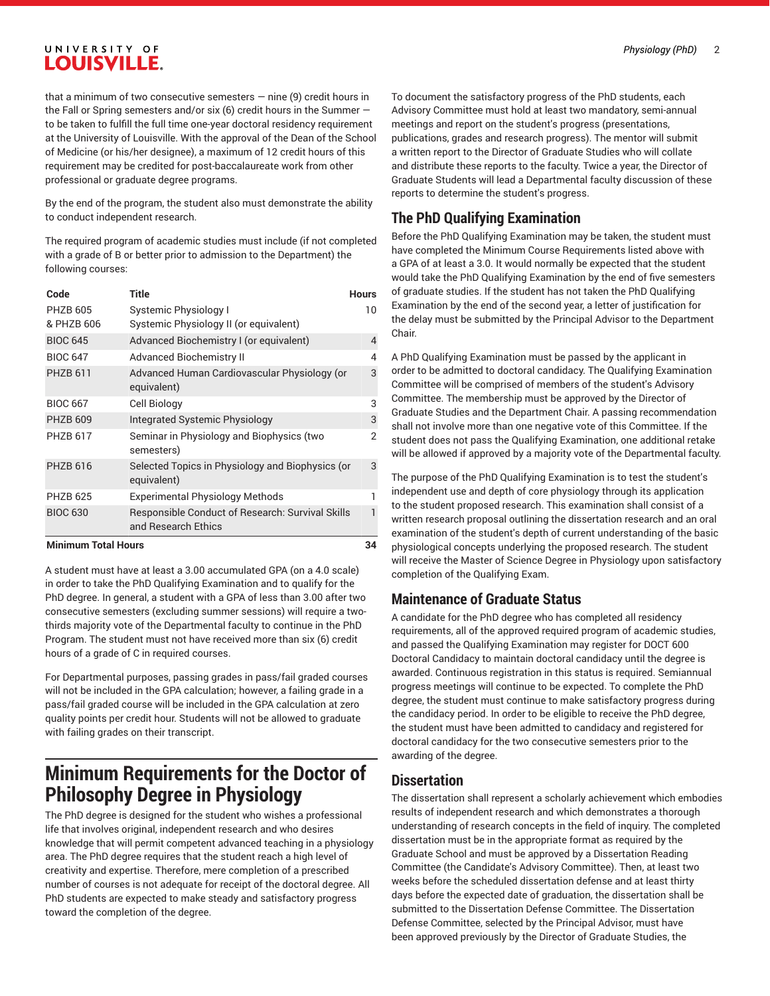### UNIVERSITY OF **LOUISVILLE.**

that a minimum of two consecutive semesters  $-$  nine (9) credit hours in the Fall or Spring semesters and/or six (6) credit hours in the Summer to be taken to fulfill the full time one-year doctoral residency requirement at the University of Louisville. With the approval of the Dean of the School of Medicine (or his/her designee), a maximum of 12 credit hours of this requirement may be credited for post-baccalaureate work from other professional or graduate degree programs.

By the end of the program, the student also must demonstrate the ability to conduct independent research.

The required program of academic studies must include (if not completed with a grade of B or better prior to admission to the Department) the following courses:

| Code                          | Title                                                                   | <b>Hours</b> |
|-------------------------------|-------------------------------------------------------------------------|--------------|
| <b>PHZB 605</b><br>& PHZB 606 | Systemic Physiology I<br>Systemic Physiology II (or equivalent)         | 10           |
| <b>BIOC 645</b>               | Advanced Biochemistry I (or equivalent)                                 | 4            |
| <b>BIOC 647</b>               | <b>Advanced Biochemistry II</b>                                         | 4            |
| <b>PHZB 611</b>               | Advanced Human Cardiovascular Physiology (or<br>equivalent)             | 3            |
| <b>BIOC 667</b>               | Cell Biology                                                            | 3            |
| <b>PHZB 609</b>               | Integrated Systemic Physiology                                          | 3            |
| <b>PHZB 617</b>               | Seminar in Physiology and Biophysics (two<br>semesters)                 | 2            |
| <b>PHZB 616</b>               | Selected Topics in Physiology and Biophysics (or<br>equivalent)         | 3            |
| <b>PHZB 625</b>               | <b>Experimental Physiology Methods</b>                                  | 1            |
| <b>BIOC 630</b>               | Responsible Conduct of Research: Survival Skills<br>and Research Ethics | 1            |

#### **Minimum Total Hours 34**

A student must have at least a 3.00 accumulated GPA (on a 4.0 scale) in order to take the PhD Qualifying Examination and to qualify for the PhD degree. In general, a student with a GPA of less than 3.00 after two consecutive semesters (excluding summer sessions) will require a twothirds majority vote of the Departmental faculty to continue in the PhD Program. The student must not have received more than six (6) credit hours of a grade of C in required courses.

For Departmental purposes, passing grades in pass/fail graded courses will not be included in the GPA calculation; however, a failing grade in a pass/fail graded course will be included in the GPA calculation at zero quality points per credit hour. Students will not be allowed to graduate with failing grades on their transcript.

## **Minimum Requirements for the Doctor of Philosophy Degree in Physiology**

The PhD degree is designed for the student who wishes a professional life that involves original, independent research and who desires knowledge that will permit competent advanced teaching in a physiology area. The PhD degree requires that the student reach a high level of creativity and expertise. Therefore, mere completion of a prescribed number of courses is not adequate for receipt of the doctoral degree. All PhD students are expected to make steady and satisfactory progress toward the completion of the degree.

To document the satisfactory progress of the PhD students, each Advisory Committee must hold at least two mandatory, semi-annual meetings and report on the student's progress (presentations, publications, grades and research progress). The mentor will submit a written report to the Director of Graduate Studies who will collate and distribute these reports to the faculty. Twice a year, the Director of Graduate Students will lead a Departmental faculty discussion of these reports to determine the student's progress.

### **The PhD Qualifying Examination**

Before the PhD Qualifying Examination may be taken, the student must have completed the Minimum Course Requirements listed above with a GPA of at least a 3.0. It would normally be expected that the student would take the PhD Qualifying Examination by the end of five semesters of graduate studies. If the student has not taken the PhD Qualifying Examination by the end of the second year, a letter of justification for the delay must be submitted by the Principal Advisor to the Department Chair.

A PhD Qualifying Examination must be passed by the applicant in order to be admitted to doctoral candidacy. The Qualifying Examination Committee will be comprised of members of the student's Advisory Committee. The membership must be approved by the Director of Graduate Studies and the Department Chair. A passing recommendation shall not involve more than one negative vote of this Committee. If the student does not pass the Qualifying Examination, one additional retake will be allowed if approved by a majority vote of the Departmental faculty.

The purpose of the PhD Qualifying Examination is to test the student's independent use and depth of core physiology through its application to the student proposed research. This examination shall consist of a written research proposal outlining the dissertation research and an oral examination of the student's depth of current understanding of the basic physiological concepts underlying the proposed research. The student will receive the Master of Science Degree in Physiology upon satisfactory completion of the Qualifying Exam.

### **Maintenance of Graduate Status**

A candidate for the PhD degree who has completed all residency requirements, all of the approved required program of academic studies, and passed the Qualifying Examination may register for DOCT 600 Doctoral Candidacy to maintain doctoral candidacy until the degree is awarded. Continuous registration in this status is required. Semiannual progress meetings will continue to be expected. To complete the PhD degree, the student must continue to make satisfactory progress during the candidacy period. In order to be eligible to receive the PhD degree, the student must have been admitted to candidacy and registered for doctoral candidacy for the two consecutive semesters prior to the awarding of the degree.

### **Dissertation**

The dissertation shall represent a scholarly achievement which embodies results of independent research and which demonstrates a thorough understanding of research concepts in the field of inquiry. The completed dissertation must be in the appropriate format as required by the Graduate School and must be approved by a Dissertation Reading Committee (the Candidate's Advisory Committee). Then, at least two weeks before the scheduled dissertation defense and at least thirty days before the expected date of graduation, the dissertation shall be submitted to the Dissertation Defense Committee. The Dissertation Defense Committee, selected by the Principal Advisor, must have been approved previously by the Director of Graduate Studies, the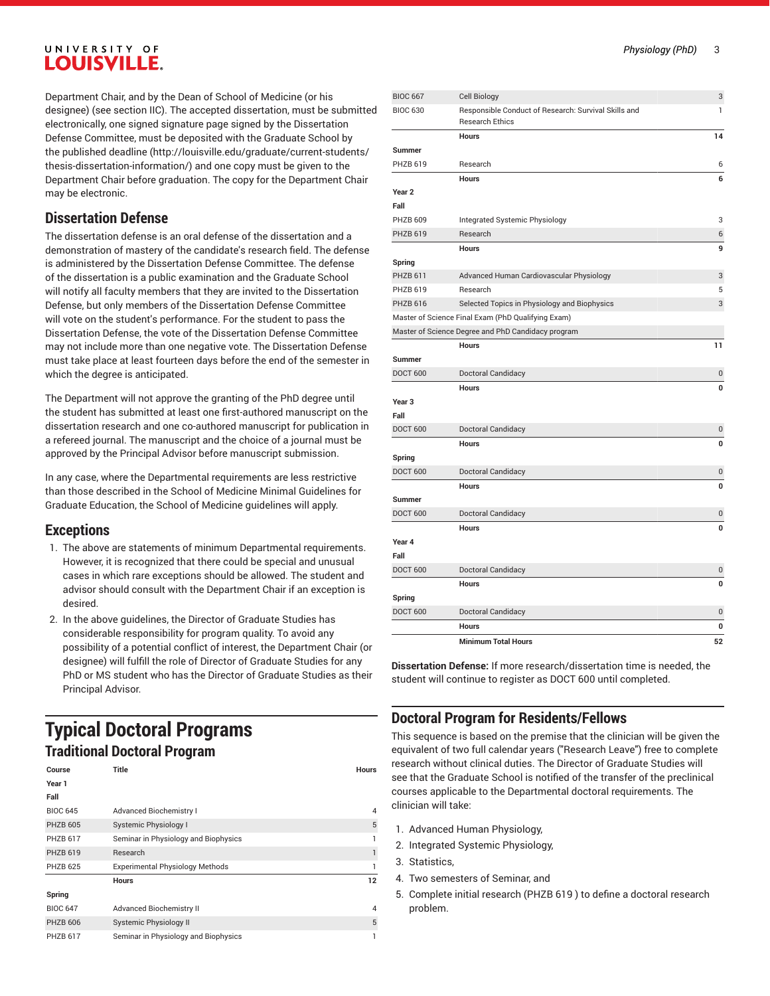### UNIVERSITY OF **LOUISVILLE.**

Department Chair, and by the Dean of School of Medicine (or his designee) (see section IIC). The accepted dissertation, must be submitted electronically, one signed signature page signed by the Dissertation Defense Committee, must be deposited with the Graduate School by the [published deadline](http://louisville.edu/graduate/current-students/thesis-dissertation-information/) ([http://louisville.edu/graduate/current-students/](http://louisville.edu/graduate/current-students/thesis-dissertation-information/) [thesis-dissertation-information/](http://louisville.edu/graduate/current-students/thesis-dissertation-information/)) and one copy must be given to the Department Chair before graduation. The copy for the Department Chair may be electronic.

### **Dissertation Defense**

The dissertation defense is an oral defense of the dissertation and a demonstration of mastery of the candidate's research field. The defense is administered by the Dissertation Defense Committee. The defense of the dissertation is a public examination and the Graduate School will notify all faculty members that they are invited to the Dissertation Defense, but only members of the Dissertation Defense Committee will vote on the student's performance. For the student to pass the Dissertation Defense, the vote of the Dissertation Defense Committee may not include more than one negative vote. The Dissertation Defense must take place at least fourteen days before the end of the semester in which the degree is anticipated.

The Department will not approve the granting of the PhD degree until the student has submitted at least one first-authored manuscript on the dissertation research and one co-authored manuscript for publication in a refereed journal. The manuscript and the choice of a journal must be approved by the Principal Advisor before manuscript submission.

In any case, where the Departmental requirements are less restrictive than those described in the School of Medicine Minimal Guidelines for Graduate Education, the School of Medicine guidelines will apply.

### **Exceptions**

- 1. The above are statements of minimum Departmental requirements. However, it is recognized that there could be special and unusual cases in which rare exceptions should be allowed. The student and advisor should consult with the Department Chair if an exception is desired.
- 2. In the above guidelines, the Director of Graduate Studies has considerable responsibility for program quality. To avoid any possibility of a potential conflict of interest, the Department Chair (or designee) will fulfill the role of Director of Graduate Studies for any PhD or MS student who has the Director of Graduate Studies as their Principal Advisor.

## **Typical Doctoral Programs Traditional Doctoral Program**

| Course          | Title                                  | <b>Hours</b> |
|-----------------|----------------------------------------|--------------|
| Year 1          |                                        |              |
| Fall            |                                        |              |
| <b>BIOC 645</b> | <b>Advanced Biochemistry I</b>         | 4            |
| <b>PHZB 605</b> | Systemic Physiology I                  | 5            |
| <b>PHZB 617</b> | Seminar in Physiology and Biophysics   |              |
| <b>PHZB 619</b> | Research                               |              |
| <b>PHZB 625</b> | <b>Experimental Physiology Methods</b> |              |
|                 | <b>Hours</b>                           | 12           |
| Spring          |                                        |              |
| <b>BIOC 647</b> | <b>Advanced Biochemistry II</b>        | 4            |
| <b>PHZB 606</b> | <b>Systemic Physiology II</b>          | 5            |
| <b>PHZB 617</b> | Seminar in Physiology and Biophysics   |              |

| <b>BIOC 667</b>   | <b>Cell Biology</b>                                                            | 3  |
|-------------------|--------------------------------------------------------------------------------|----|
| <b>BIOC 630</b>   | Responsible Conduct of Research: Survival Skills and<br><b>Research Ethics</b> | 1  |
|                   | <b>Hours</b>                                                                   | 14 |
| <b>Summer</b>     |                                                                                |    |
| <b>PHZB 619</b>   | Research                                                                       | 6  |
|                   | <b>Hours</b>                                                                   | 6  |
| Year <sub>2</sub> |                                                                                |    |
| Fall              |                                                                                |    |
| <b>PHZB 609</b>   | Integrated Systemic Physiology                                                 | 3  |
| <b>PHZB 619</b>   | Research                                                                       | 6  |
|                   | <b>Hours</b>                                                                   | 9  |
| Spring            |                                                                                |    |
| <b>PHZB 611</b>   | Advanced Human Cardiovascular Physiology                                       | 3  |
| <b>PHZB 619</b>   | Research                                                                       | 5  |
| <b>PHZB 616</b>   | Selected Topics in Physiology and Biophysics                                   | 3  |
|                   | Master of Science Final Exam (PhD Qualifying Exam)                             |    |
|                   | Master of Science Degree and PhD Candidacy program                             |    |
|                   | <b>Hours</b>                                                                   | 11 |
| Summer            |                                                                                |    |
| <b>DOCT 600</b>   | Doctoral Candidacy                                                             | 0  |
|                   | <b>Hours</b>                                                                   | 0  |
| Year <sub>3</sub> |                                                                                |    |
| Fall              |                                                                                |    |
| <b>DOCT 600</b>   | Doctoral Candidacy                                                             | 0  |
|                   | <b>Hours</b>                                                                   | 0  |
| Spring            |                                                                                |    |
| <b>DOCT 600</b>   | Doctoral Candidacy                                                             | 0  |
|                   | <b>Hours</b>                                                                   | 0  |
| <b>Summer</b>     |                                                                                |    |
| <b>DOCT 600</b>   | Doctoral Candidacy                                                             | 0  |
|                   | <b>Hours</b>                                                                   | 0  |
| Year 4            |                                                                                |    |
| Fall              |                                                                                |    |
| <b>DOCT 600</b>   | Doctoral Candidacy                                                             | 0  |
|                   | Hours                                                                          | 0  |
| Spring            |                                                                                |    |
| <b>DOCT 600</b>   | Doctoral Candidacy                                                             | 0  |
|                   | <b>Hours</b>                                                                   | 0  |
|                   | <b>Minimum Total Hours</b>                                                     | 52 |
|                   |                                                                                |    |

**Dissertation Defense:** If more research/dissertation time is needed, the student will continue to register as DOCT 600 until completed.

### **Doctoral Program for Residents/Fellows**

This sequence is based on the premise that the clinician will be given the equivalent of two full calendar years ("Research Leave") free to complete research without clinical duties. The Director of Graduate Studies will see that the Graduate School is notified of the transfer of the preclinical courses applicable to the Departmental doctoral requirements. The clinician will take:

- 1. Advanced Human Physiology,
- 2. Integrated Systemic Physiology,
- 3. Statistics,
- 4. Two semesters of Seminar, and
- 5. Complete initial research (PHZB 619 ) to define a doctoral research problem.